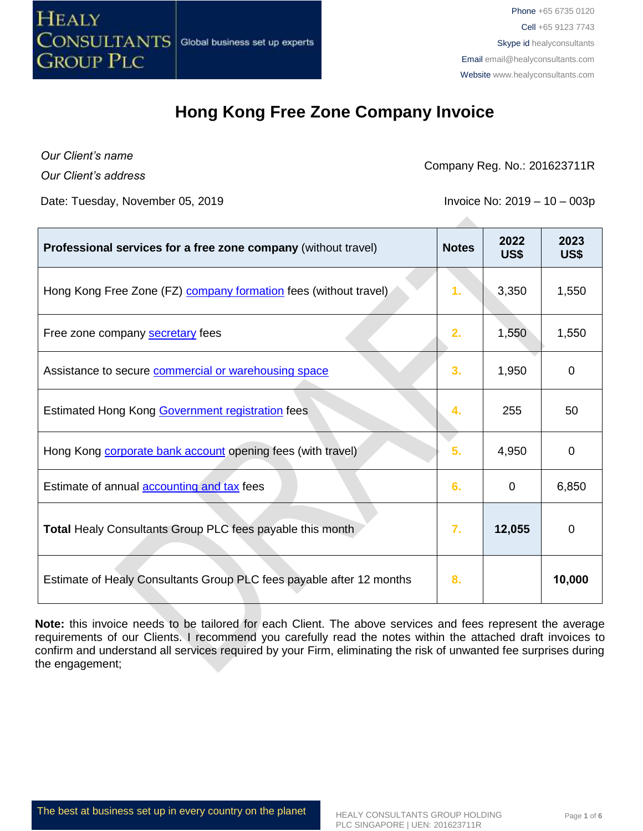

*Our Client's name Our Client's address*

Company Reg. No.: 201623711R

Date: Tuesday, November 05, 2019 **Invoice No. 2019** Invoice No: 2019 – 10 – 003p

| Professional services for a free zone company (without travel)          | <b>Notes</b> | 2022<br>US\$ | 2023<br>US\$ |
|-------------------------------------------------------------------------|--------------|--------------|--------------|
| Hong Kong Free Zone (FZ) <b>company formation</b> fees (without travel) | 1.           | 3,350        | 1,550        |
| Free zone company secretary fees                                        | 2.           | 1,550        | 1,550        |
| Assistance to secure commercial or warehousing space                    | 3.           | 1,950        | 0            |
| Estimated Hong Kong Government registration fees                        | 4.           | 255          | 50           |
| Hong Kong <b>corporate bank account</b> opening fees (with travel)      | 5.           | 4,950        | 0            |
| Estimate of annual <b>accounting and tax</b> fees                       | 6.           | $\Omega$     | 6,850        |
| <b>Total Healy Consultants Group PLC fees payable this month</b>        | 7.           | 12,055       | 0            |
| Estimate of Healy Consultants Group PLC fees payable after 12 months    | 8.           |              | 10,000       |

**Note:** this invoice needs to be tailored for each Client. The above services and fees represent the average requirements of our Clients. I recommend you carefully read the notes within the attached draft invoices to confirm and understand all services required by your Firm, eliminating the risk of unwanted fee surprises during the engagement;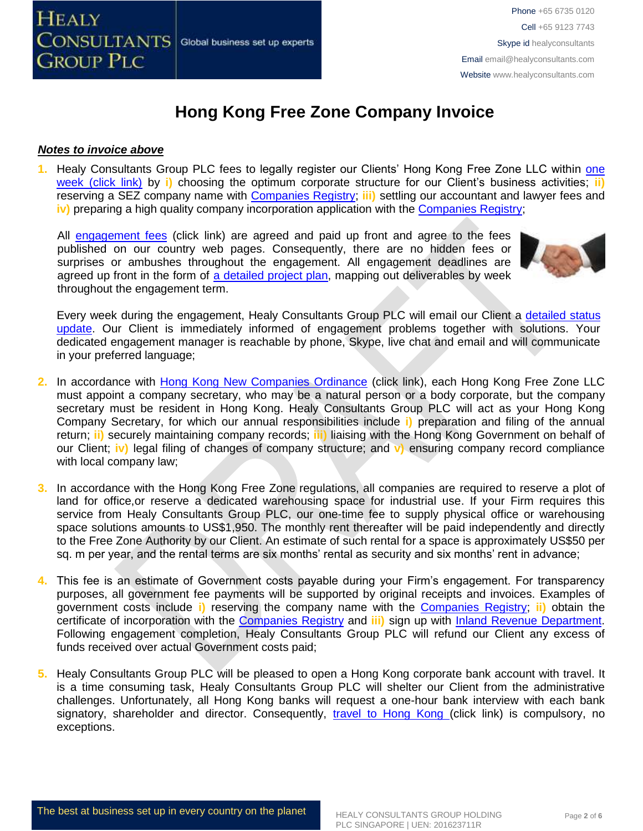#### *Notes to invoice above*

**1.** Healy Consultants Group PLC fees to legally register our Clients' Hong Kong Free Zone LLC within [one](http://www.healyconsultants.com/hong-kong-company-registration/fees-timelines/#timelines) [week \(click link\)](http://www.healyconsultants.com/hong-kong-company-registration/fees-timelines/#timelines) by **i)** choosing the optimum corporate structure for our Client's business activities; **ii)** reserving a SEZ company name with [Companies Registry;](http://www.cr.gov.hk/en/public/services.htm) **iii)** settling our accountant and lawyer fees and **iv)** preparing a high quality company incorporation application with the [Companies Registry;](http://www.cr.gov.hk/en/public/services.htm)

All [engagement fees](http://www.healyconsultants.com/company-registration-fees/) (click link) are agreed and paid up front and agree to the fees published on our country web pages. Consequently, there are no hidden fees or surprises or ambushes throughout the engagement. All engagement deadlines are agreed up front in the form of [a detailed project plan,](http://www.healyconsultants.com/index-important-links/example-project-plan/) mapping out deliverables by week throughout the engagement term.



Every week during the engagement, Healy Consultants Group PLC will email our Client a [detailed status](http://www.healyconsultants.com/index-important-links/weekly-engagement-status-email/)  [update.](http://www.healyconsultants.com/index-important-links/weekly-engagement-status-email/) Our Client is immediately informed of engagement problems together with solutions. Your dedicated engagement manager is reachable by phone, Skype, live chat and email and will communicate in your preferred language;

- 2. In accordance with **Hong Kong New Companies Ordinance** (click link), each Hong Kong Free Zone LLC must appoint a company secretary, who may be a natural person or a body corporate, but the company secretary must be resident in Hong Kong. Healy Consultants Group PLC will act as your Hong Kong Company Secretary, for which our annual responsibilities include **i)** preparation and filing of the annual return; **ii)** securely maintaining company records; **iii)** liaising with the Hong Kong Government on behalf of our Client; **iv)** legal filing of changes of company structure; and **v)** ensuring company record compliance with local company law;
- **3.** In accordance with the Hong Kong Free Zone regulations, all companies are required to reserve a plot of land for office,or reserve a dedicated warehousing space for industrial use. If your Firm requires this service from Healy Consultants Group PLC, our one-time fee to supply physical office or warehousing space solutions amounts to US\$1,950. The monthly rent thereafter will be paid independently and directly to the Free Zone Authority by our Client. An estimate of such rental for a space is approximately US\$50 per sq. m per year, and the rental terms are six months' rental as security and six months' rent in advance;
- **4.** This fee is an estimate of Government costs payable during your Firm's engagement. For transparency purposes, all government fee payments will be supported by original receipts and invoices. Examples of government costs include **i)** reserving the company name with the [Companies Registry;](http://www.cr.gov.hk/en/public/services.htm) **ii)** obtain the certificate of incorporation with the [Companies Registry](http://www.cr.gov.hk/en/public/services.htm) and **iii)** sign up with [Inland Revenue Department.](http://www.ird.gov.hk/eng/welcome.htm) Following engagement completion, Healy Consultants Group PLC will refund our Client any excess of funds received over actual Government costs paid;
- **5.** Healy Consultants Group PLC will be pleased to open a Hong Kong corporate bank account with travel. It is a time consuming task, Healy Consultants Group PLC will shelter our Client from the administrative challenges. Unfortunately, all Hong Kong banks will request a one-hour bank interview with each bank signatory, shareholder and director. Consequently, [travel to Hong Kong \(](http://www.healyconsultants.com/hong-kong-company-registration/concierge-services/)click link) is compulsory, no exceptions.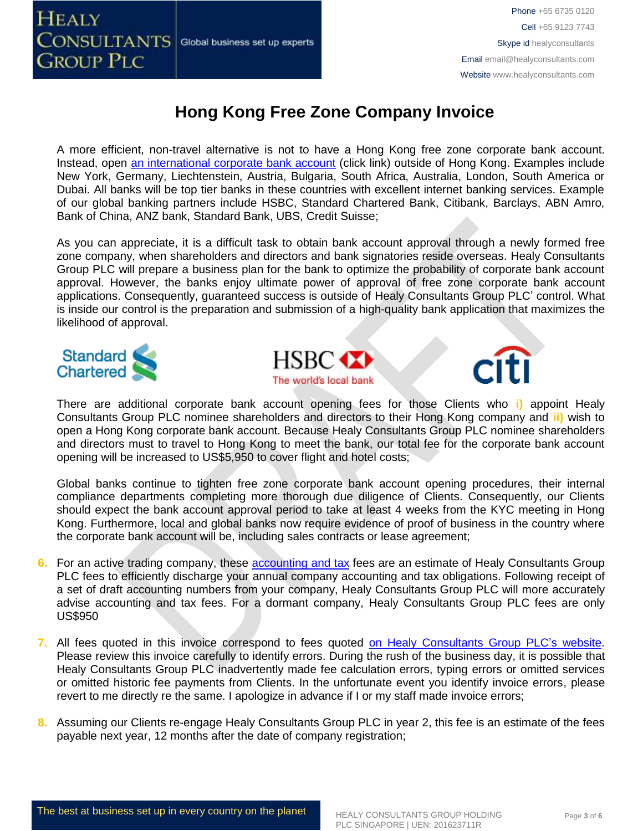

Phone +65 6735 0120 Cell +65 9123 7743 Skype id healyconsultants Email [email@healyconsultants.com](mailto:EMAIL@HEALYCONSULTANTS.COM) Website [www.healyconsultants.com](http://www.healyconsultants.com/)

# **Hong Kong Free Zone Company Invoice**

A more efficient, non-travel alternative is not to have a Hong Kong free zone corporate bank account. Instead, open [an international corporate bank account](http://www.healyconsultants.com/international-banking/) (click link) outside of Hong Kong. Examples include New York, Germany, Liechtenstein, Austria, Bulgaria, South Africa, Australia, London, South America or Dubai. All banks will be top tier banks in these countries with excellent internet banking services. Example of our global banking partners include HSBC, Standard Chartered Bank, Citibank, Barclays, ABN Amro, Bank of China, ANZ bank, Standard Bank, UBS, Credit Suisse;

As you can appreciate, it is a difficult task to obtain bank account approval through a newly formed free zone company, when shareholders and directors and bank signatories reside overseas. Healy Consultants Group PLC will prepare a business plan for the bank to optimize the probability of corporate bank account approval. However, the banks enjoy ultimate power of approval of free zone corporate bank account applications. Consequently, guaranteed success is outside of Healy Consultants Group PLC' control. What is inside our control is the preparation and submission of a high-quality bank application that maximizes the likelihood of approval.





There are additional corporate bank account opening fees for those Clients who **i)** appoint Healy Consultants Group PLC nominee shareholders and directors to their Hong Kong company and **ii)** wish to open a Hong Kong corporate bank account. Because Healy Consultants Group PLC nominee shareholders and directors must to travel to Hong Kong to meet the bank, our total fee for the corporate bank account opening will be increased to US\$5,950 to cover flight and hotel costs;

Global banks continue to tighten free zone corporate bank account opening procedures, their internal compliance departments completing more thorough due diligence of Clients. Consequently, our Clients should expect the bank account approval period to take at least 4 weeks from the KYC meeting in Hong Kong. Furthermore, local and global banks now require evidence of proof of business in the country where the corporate bank account will be, including sales contracts or lease agreement;

- **6.** For an active trading company, these **accounting and tax** fees are an estimate of Healy Consultants Group PLC fees to efficiently discharge your annual company accounting and tax obligations. Following receipt of a set of draft accounting numbers from your company, Healy Consultants Group PLC will more accurately advise accounting and tax fees. For a dormant company, Healy Consultants Group PLC fees are only US\$950
- **7.** All fees quoted in this invoice correspond to fees quoted [on Healy Consultants Group PLC's](http://www.healyconsultants.com/company-registration-fees/) website. Please review this invoice carefully to identify errors. During the rush of the business day, it is possible that Healy Consultants Group PLC inadvertently made fee calculation errors, typing errors or omitted services or omitted historic fee payments from Clients. In the unfortunate event you identify invoice errors, please revert to me directly re the same. I apologize in advance if I or my staff made invoice errors;
- **8.** Assuming our Clients re-engage Healy Consultants Group PLC in year 2, this fee is an estimate of the fees payable next year, 12 months after the date of company registration;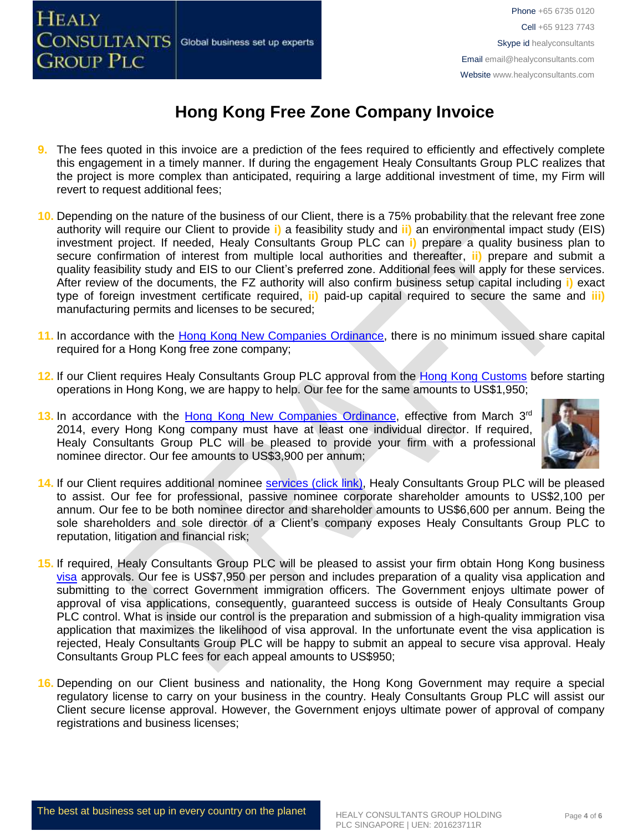

Phone +65 6735 0120 Cell +65 9123 7743 Skype id healyconsultants Email [email@healyconsultants.com](mailto:EMAIL@HEALYCONSULTANTS.COM) Website [www.healyconsultants.com](http://www.healyconsultants.com/)

# **Hong Kong Free Zone Company Invoice**

- **9.** The fees quoted in this invoice are a prediction of the fees required to efficiently and effectively complete this engagement in a timely manner. If during the engagement Healy Consultants Group PLC realizes that the project is more complex than anticipated, requiring a large additional investment of time, my Firm will revert to request additional fees;
- **10.** Depending on the nature of the business of our Client, there is a 75% probability that the relevant free zone authority will require our Client to provide **i)** a feasibility study and **ii)** an environmental impact study (EIS) investment project. If needed, Healy Consultants Group PLC can **i)** prepare a quality business plan to secure confirmation of interest from multiple local authorities and thereafter, **ii)** prepare and submit a quality feasibility study and EIS to our Client's preferred zone. Additional fees will apply for these services. After review of the documents, the FZ authority will also confirm business setup capital including **i)** exact type of foreign investment certificate required, **ii)** paid-up capital required to secure the same and **iii)** manufacturing permits and licenses to be secured;
- **11.** In accordance with the [Hong Kong New Companies Ordinance,](http://www.cr.gov.hk/en/companies_ordinance/docs/NewCO_C622_HL_FullVersion-e.pdf) there is no minimum issued share capital required for a Hong Kong free zone company;
- **12.** If our Client requires Healy Consultants Group PLC approval from the [Hong Kong Customs](http://www.customs.gov.hk/) before starting operations in Hong Kong, we are happy to help. Our fee for the same amounts to US\$1,950;
- **13.** In accordance with the [Hong Kong New Companies Ordinance,](http://www.cr.gov.hk/en/companies_ordinance/docs/NewCO_C622_HL_FullVersion-e.pdf) effective from March 3<sup>rd</sup> 2014, every Hong Kong company must have at least one individual director. If required, Healy Consultants Group PLC will be pleased to provide your firm with a professional nominee director. Our fee amounts to US\$3,900 per annum;



- **14.** If our Client requires additional nominee services [\(click link\),](http://www.healyconsultants.com/corporate-outsourcing-services/nominee-shareholders-directors/) Healy Consultants Group PLC will be pleased to assist. Our fee for professional, passive nominee corporate shareholder amounts to US\$2,100 per annum. Our fee to be both nominee director and shareholder amounts to US\$6,600 per annum. Being the sole shareholders and sole director of a Client's company exposes Healy Consultants Group PLC to reputation, litigation and financial risk;
- **15.** If required, Healy Consultants Group PLC will be pleased to assist your firm obtain Hong Kong business [visa](http://www.healyconsultants.com/hong-kong-company-registration/formation-support-services/) approvals. Our fee is US\$7,950 per person and includes preparation of a quality visa application and submitting to the correct Government immigration officers. The Government enjoys ultimate power of approval of visa applications, consequently, guaranteed success is outside of Healy Consultants Group PLC control. What is inside our control is the preparation and submission of a high-quality immigration visa application that maximizes the likelihood of visa approval. In the unfortunate event the visa application is rejected, Healy Consultants Group PLC will be happy to submit an appeal to secure visa approval. Healy Consultants Group PLC fees for each appeal amounts to US\$950;
- **16.** Depending on our Client business and nationality, the Hong Kong Government may require a special regulatory license to carry on your business in the country. Healy Consultants Group PLC will assist our Client secure license approval. However, the Government enjoys ultimate power of approval of company registrations and business licenses;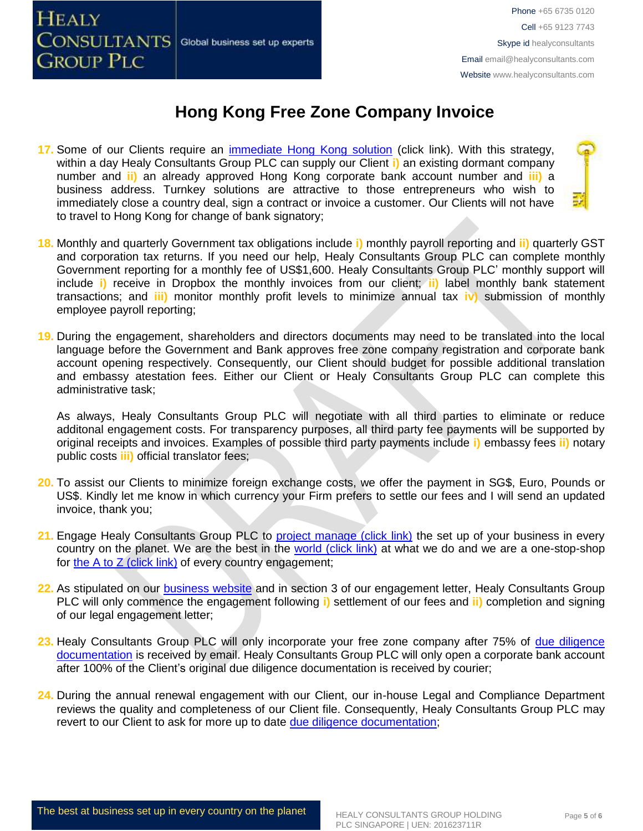

- **17.** Some of our Clients require an [immediate Hong Kong solution](http://www.healyconsultants.com/hong-kong-company-registration/turnkey-solutions/) (click link). With this strategy, within a day Healy Consultants Group PLC can supply our Client **i)** an existing dormant company number and **ii)** an already approved Hong Kong corporate bank account number and **iii)** a business address. Turnkey solutions are attractive to those entrepreneurs who wish to immediately close a country deal, sign a contract or invoice a customer. Our Clients will not have to travel to Hong Kong for change of bank signatory;
- **18.** Monthly and quarterly Government tax obligations include **i)** monthly payroll reporting and **ii)** quarterly GST and corporation tax returns. If you need our help, Healy Consultants Group PLC can complete monthly Government reporting for a monthly fee of US\$1,600. Healy Consultants Group PLC' monthly support will include **i)** receive in Dropbox the monthly invoices from our client; **ii)** label monthly bank statement transactions; and **iii)** monitor monthly profit levels to minimize annual tax **iv)** submission of monthly employee payroll reporting;
- **19.** During the engagement, shareholders and directors documents may need to be translated into the local language before the Government and Bank approves free zone company registration and corporate bank account opening respectively. Consequently, our Client should budget for possible additional translation and embassy atestation fees. Either our Client or Healy Consultants Group PLC can complete this administrative task;

As always, Healy Consultants Group PLC will negotiate with all third parties to eliminate or reduce additonal engagement costs. For transparency purposes, all third party fee payments will be supported by original receipts and invoices. Examples of possible third party payments include **i)** embassy fees **ii)** notary public costs **iii)** official translator fees;

- **20.** To assist our Clients to minimize foreign exchange costs, we offer the payment in SG\$, Euro, Pounds or US\$. Kindly let me know in which currency your Firm prefers to settle our fees and I will send an updated invoice, thank you;
- 21. Engage Healy Consultants Group PLC to **project manage (click link)** the set up of your business in every country on the planet. We are the best in the [world \(click link\)](http://www.healyconsultants.com/best-in-the-world/) at what we do and we are a one-stop-shop for the A to  $Z$  (click link) of every country engagement;
- 22. As stipulated on our **business website** and in section 3 of our engagement letter, Healy Consultants Group PLC will only commence the engagement following **i)** settlement of our fees and **ii)** completion and signing of our legal engagement letter;
- **23.** Healy Consultants Group PLC will only incorporate your free zone company after 75% of [due diligence](http://www.healyconsultants.com/due-diligence/)  [documentation](http://www.healyconsultants.com/due-diligence/) is received by email. Healy Consultants Group PLC will only open a corporate bank account after 100% of the Client's original due diligence documentation is received by courier;
- **24.** During the annual renewal engagement with our Client, our in-house Legal and Compliance Department reviews the quality and completeness of our Client file. Consequently, Healy Consultants Group PLC may revert to our Client to ask for more up to date [due diligence documentation;](http://www.healyconsultants.com/due-diligence/)